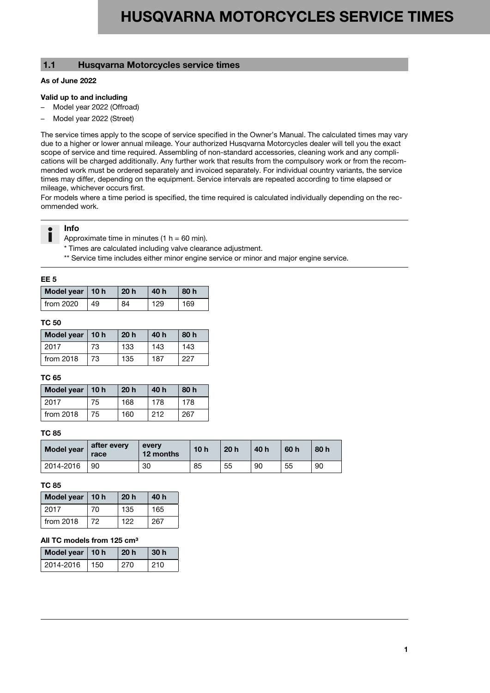# **1.1 Husqvarna Motorcycles service times**

#### **As of June 2022**

#### **Valid up to and including**

- Model year 2022 (Offroad)
- Model year 2022 (Street)

The service times apply to the scope of service specified in the Owner's Manual. The calculated times may vary due to a higher or lower annual mileage. Your authorized Husqvarna Motorcycles dealer will tell you the exact scope of service and time required. Assembling of non-standard accessories, cleaning work and any complications will be charged additionally. Any further work that results from the compulsory work or from the recommended work must be ordered separately and invoiced separately. For individual country variants, the service times may differ, depending on the equipment. Service intervals are repeated according to time elapsed or mileage, whichever occurs first.

For models where a time period is specified, the time required is calculated individually depending on the recommended work.



## **Info**

Approximate time in minutes (1  $h = 60$  min).

\* Times are calculated including valve clearance adjustment.

\*\* Service time includes either minor engine service or minor and major engine service.

#### **EE 5**

| Model year   10 h |    | 20 <sub>h</sub> | 40 h | 80 h |
|-------------------|----|-----------------|------|------|
| from 2020         | 49 | 84              | 129  | 169  |

#### **TC 50**

| Model year   10 h |    | 20 <sub>h</sub> | 40 h | 80 h |
|-------------------|----|-----------------|------|------|
| 2017              | 73 | 133             | 143  | 143  |
| from $2018$       | 73 | 135             | 187  | 227  |

#### **TC 65**

| Model year   10 h |    | 20h | 40 h | 80 h |
|-------------------|----|-----|------|------|
| 2017              | 75 | 168 | 178  | 178  |
| from $2018$       | 75 | 160 | 212  | 267  |

#### **TC 85**

| <b>Model year</b> | after every<br>race | every<br>12 months | 10 <sub>h</sub> | 20 <sub>h</sub> | 40 h | 60 h | 80 h |
|-------------------|---------------------|--------------------|-----------------|-----------------|------|------|------|
| 2014-2016         | 90                  | 30                 | 85              | 55              | 90   | 55   | 90   |

#### **TC 85**

| Model year $ 10$ h |    | 20 <sub>h</sub> | 40 h |
|--------------------|----|-----------------|------|
| 2017               | 70 | 135             | 165  |
| from 2018          | 72 | 122             | 267  |

#### **All TC models from 125 cm³**

| Model year   10 h |     | 20 <sub>h</sub> | 30 <sub>h</sub> |
|-------------------|-----|-----------------|-----------------|
| 2014-2016         | 150 | 270             | 210             |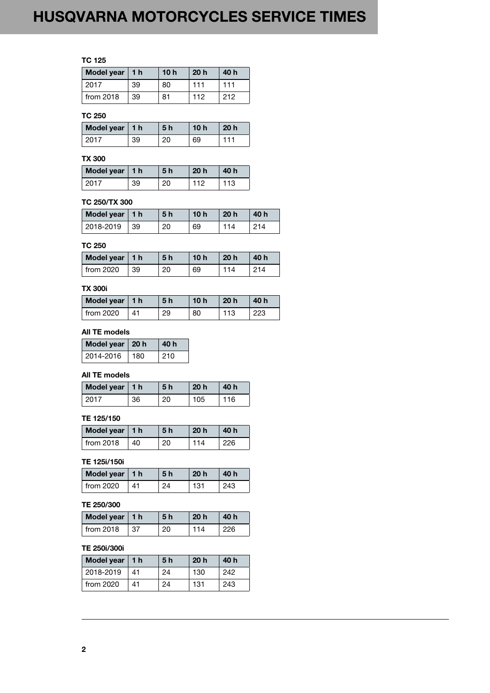# HUSQVARNA MOTORCYCLES SERVICE TIMES

# **TC 125**

| Model year   1 h |    | 10 <sub>h</sub> | 20 <sub>h</sub> | 40 h |
|------------------|----|-----------------|-----------------|------|
| 2017             | 39 | 80              | 111             | 111  |
| from $2018$      | 39 | 81              | 112             | 212  |

## **TC 250**

| Model year   1 h |    | <b>5 h</b> | 10 h | 20 <sub>h</sub> |
|------------------|----|------------|------|-----------------|
| 12017            | 39 | 20         | 69   |                 |

# **TX 300**

| Model year   1 h |    | <b>5h</b> | 20 <sub>h</sub> | 40 h |
|------------------|----|-----------|-----------------|------|
| 2017             | 39 | 20        | 112             | 113  |

## **TC 250/TX 300**

| Model year   1 h |     | 5 <sub>h</sub> | 10h | 20 <sub>h</sub> | 40 h |
|------------------|-----|----------------|-----|-----------------|------|
| 2018-2019        | -39 | 20             | 69  | 114             | 214  |

## **TC 250**

| Model year   1 h |    | 5 h | 10 h | 20 <sub>h</sub> | 40 h |
|------------------|----|-----|------|-----------------|------|
| from 2020        | 39 | 20  | 69   |                 |      |

#### **TX 300i**

| Model year   1 h |    | 5 h | 10h | 20 <sub>h</sub> | 40 h |
|------------------|----|-----|-----|-----------------|------|
| from 2020        | 41 | 29  | 80  | 113             | 223  |

# **All TE models**

| Model year   20 h |     | 40 h |
|-------------------|-----|------|
| 2014-2016         | 180 | 210  |

### **All TE models**

| Model year   1 h |    | 5 <sub>h</sub> | 20 <sub>h</sub> | 40 h |
|------------------|----|----------------|-----------------|------|
| 2017             | 36 | 20             | 105             | 16   |

#### **TE 125/150**

| Model year   1 h        |    | .5 h | 20 <sub>h</sub> | 40 h |
|-------------------------|----|------|-----------------|------|
| $\frac{1}{2}$ from 2018 | 40 | 20   | 114             | 226  |

## **TE 125i/150i**

| Model year   1 h |    | 5 <sub>h</sub> | 20 <sub>h</sub> | 40 h |
|------------------|----|----------------|-----------------|------|
| from $2020$      | 41 | 24             | 131             | 243  |

## **TE 250/300**

| Model year   1 h |    | <b>5h</b> | 20 <sub>h</sub> | 40 h |
|------------------|----|-----------|-----------------|------|
| from $2018$      | 37 | 20        | 114             | 226  |

## **TE 250i/300i**

| Model year   1 h |    | 5 <sub>h</sub> | 20h | 40 h |
|------------------|----|----------------|-----|------|
| 2018-2019        | 41 | 24             | 130 | 242  |
| from $2020$      | 41 | 24             | 131 | 243  |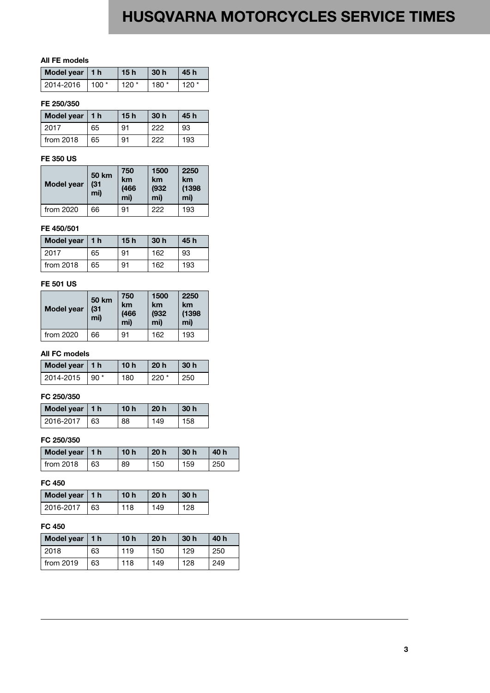# HUSQVARNA MOTORCYCLES SERVICE TIMES

### **All FE models**

| Model year   1 h |                  | 15h     | $\sqrt{30}$ h | 45 h   |
|------------------|------------------|---------|---------------|--------|
| 2014-2016        | $\cdot$ 100 $^*$ | 120 $*$ | l 180 *       | $120*$ |

#### **FE 250/350**

| Model year   1 h |    | 15h | 30h | 45 h |
|------------------|----|-----|-----|------|
| 2017             | 65 | 91  | 222 | 93   |
| from $2018$      | 65 | 91  | ククク | 193  |

#### **FE 350 US**

| <b>Model year</b> | <b>50 km</b><br>(31)<br>mi) | 750<br>km<br>(466)<br>mi) | 1500<br>km<br>(932)<br>mi) | 2250<br>km<br>(1398)<br>mi) |
|-------------------|-----------------------------|---------------------------|----------------------------|-----------------------------|
| from 2020         | 66                          | 91                        | 222                        | 193                         |

#### **FE 450/501**

| Model year   1 h |    | 15h | 30 <sub>h</sub> | 45 h |
|------------------|----|-----|-----------------|------|
| 2017             | 65 | 91  | 162             | 93   |
| from 2018        | 65 | 91  | 162             | 193  |

## **FE 501 US**

| <b>Model year</b> | <b>50 km</b><br>(31)<br>mi) | 750<br>km<br>(466)<br>mi) | 1500<br>km<br>(932)<br>mi) | 2250<br>km<br>(1398)<br>mi) |
|-------------------|-----------------------------|---------------------------|----------------------------|-----------------------------|
| from 2020         | 66                          | 91                        | 162                        | 193                         |

### **All FC models**

| Model year   1 h |                   | 10h | 20h    | -30 h |
|------------------|-------------------|-----|--------|-------|
| 2014-2015        | $\overline{90}$ * | 180 | $220*$ | 250   |

## **FC 250/350**

| Model year   1 h |    | 10h | 20 <sub>h</sub> | 30 <sub>h</sub> |
|------------------|----|-----|-----------------|-----------------|
| 2016-2017        | 63 | 88  | 149             | 158             |

## **FC 250/350**

| Model year $ 1 h$ |    | 10 <sub>h</sub> | 20 <sub>h</sub> | 30 <sub>h</sub> | 40 h |
|-------------------|----|-----------------|-----------------|-----------------|------|
| $l$ from 2018     | 63 | 89              | 150             | 159             | 250  |

### **FC 450**

| Model year   1 h |    | 10h | 20 <sub>h</sub> | -30 h |
|------------------|----|-----|-----------------|-------|
| 2016-2017        | 63 | 118 | 149             | 128   |

## **FC 450**

| Model year   1 h |    | 10 <sub>h</sub> | 20h | 30 <sub>h</sub> | 40 h |
|------------------|----|-----------------|-----|-----------------|------|
| 2018             | 63 | 119             | 150 | 129             | 250  |
| from 2019        | 63 | 118             | 149 | 128             | 249  |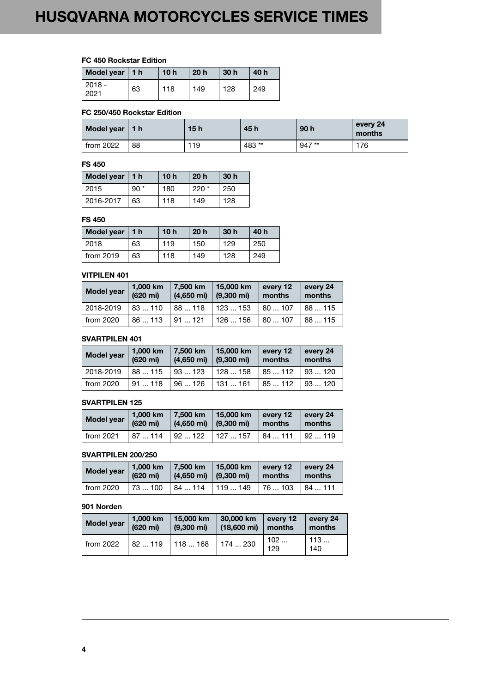## **FC 450 Rockstar Edition**

| Model year   1 h |    | 10 <sub>h</sub> | 20h | 30 <sub>h</sub> | 40 h |
|------------------|----|-----------------|-----|-----------------|------|
| $2018 -$<br>2021 | 63 | 118             | 149 | 128             | 249  |

#### **FC 250/450 Rockstar Edition**

| Model year   1 h |    | 15h | 45 h  | 90 <sub>h</sub> | every 24<br>months |
|------------------|----|-----|-------|-----------------|--------------------|
| from 2022        | 88 | 119 | 483** | $947**$         | 176                |

#### **FS 450**

| Model year $ 1$ h |       | 10h | 20 <sub>h</sub> | 30 h |
|-------------------|-------|-----|-----------------|------|
| 2015              | $90*$ | 180 | $220*$          | 250  |
| 2016-2017         | 63    | 118 | 149             | 128  |

#### **FS 450**

| Model year   1 h |    | 10 <sub>h</sub> | 20 <sub>h</sub> | 30 <sub>h</sub> | 40 h |
|------------------|----|-----------------|-----------------|-----------------|------|
| 2018             | 63 | 119             | 150             | 129             | 250  |
| from 2019        | 63 | 118             | 149             | 128             | 249  |

#### **VITPILEN 401**

| Model year | 1,000 km<br>$(620 \text{ mi})$ | 7.500 km<br>$(4,650 \text{ mi})$ | 15,000 km<br>$(9,300 \text{ mi})$ | every 12<br>months | every 24<br>months |
|------------|--------------------------------|----------------------------------|-----------------------------------|--------------------|--------------------|
| 2018-2019  | 83110                          | 88  118                          | 123153                            | 180107             | 88115              |
| from 2020  | 86113                          | 191121                           | 126  156                          | 180107             | 88  115            |

# **SVARTPILEN 401**

| <b>Model year</b> | 1,000 km<br>$(620 \text{ mi})$ | 7,500 km<br>$(4,650 \text{ mi})$ | 15,000 km<br>$(9,300 \text{ mi})$ | every 12<br>months | every 24<br>months |
|-------------------|--------------------------------|----------------------------------|-----------------------------------|--------------------|--------------------|
| 2018-2019         | 88  115                        | │93  123                         | 128158                            | 85112              | 193120             |
| from 2020         | 91118                          | 96126                            | l 131  161                        | 85  112            | 193120             |

#### **SVARTPILEN 125**

| <b>Model year</b> | $(620 \text{ mi})$ | $(4,650 \text{ mi})$ (9,300 mi) | 1,000 km   7,500 km   15,000 km | every 12<br>l months | $\vert$ every 24<br>months |
|-------------------|--------------------|---------------------------------|---------------------------------|----------------------|----------------------------|
| from $2021$       |                    |                                 | 87  114   92  122   127  157    | 184111               | 192119                     |

#### **SVARTPILEN 200/250**

| Model year | (620 mi) | 1,000 km   7,500 km   15,000 km<br>$(4,650 \text{ mi})$ (9,300 mi) |                            | $\vert$ every 12<br>months | every 24<br>l months |
|------------|----------|--------------------------------------------------------------------|----------------------------|----------------------------|----------------------|
| from 2020  |          |                                                                    | $173100$ $184114$ $119149$ | l 76  103                  | 184111               |

#### **901 Norden**

| <b>Model year</b> | 1,000 km           | 15,000 km                             | 30,000 km             | every 12   | every 24   |
|-------------------|--------------------|---------------------------------------|-----------------------|------------|------------|
|                   | $(620 \text{ mi})$ | $(9,300 \text{ mi})$                  | $(18,600 \text{ mi})$ | months     | months     |
| from 2022         |                    | $\vert$ 82  119   118  168   174  230 |                       | 102<br>129 | 113<br>140 |